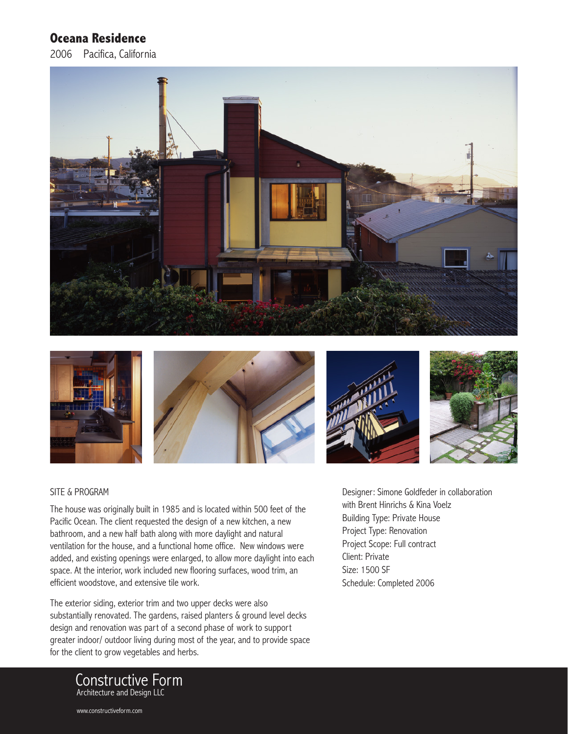## **Oceana Residence**

2006 Pacifica, California







## SITE & PROGRAM

The house was originally built in 1985 and is located within 500 feet of the Pacific Ocean. The client requested the design of a new kitchen, a new bathroom, and a new half bath along with more daylight and natural ventilation for the house, and a functional home office. New windows were added, and existing openings were enlarged, to allow more daylight into each space. At the interior, work included new flooring surfaces, wood trim, an efficient woodstove, and extensive tile work.

The exterior siding, exterior trim and two upper decks were also substantially renovated. The gardens, raised planters & ground level decks design and renovation was part of a second phase of work to support greater indoor/ outdoor living during most of the year, and to provide space for the client to grow vegetables and herbs.

Designer: Simone Goldfeder in collaboration with Brent Hinrichs & Kina Voelz Building Type: Private House Project Type: Renovation Project Scope: Full contract Client: Private Size: 1500 SF Schedule: Completed 2006



www.constructiveform.com